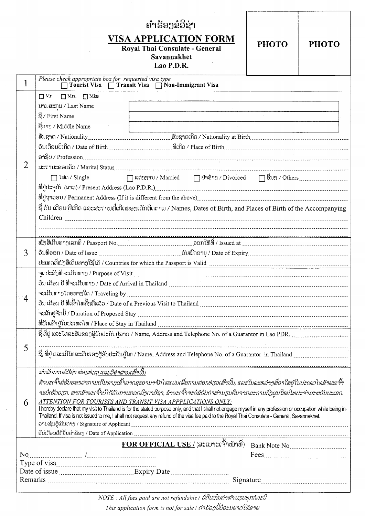|                                                              |                                                                                                                                                              | ຄຳ້ຮອງຂໍ້ວີ່ຊ່າ |  |  |
|--------------------------------------------------------------|--------------------------------------------------------------------------------------------------------------------------------------------------------------|-----------------|--|--|
|                                                              |                                                                                                                                                              |                 |  |  |
| <b>VISA APPLICATION FORM</b><br><b>PHOTO</b><br><b>PHOTO</b> |                                                                                                                                                              |                 |  |  |
| Royal Thai Consulate - General                               |                                                                                                                                                              |                 |  |  |
|                                                              | Savannakhet<br>Lao P.D.R.                                                                                                                                    |                 |  |  |
|                                                              |                                                                                                                                                              |                 |  |  |
|                                                              | Please check appropriate box for requested visa type<br>Tourist Visa   Transit Visa   Non-Immigrant Visa                                                     |                 |  |  |
| $\overline{2}$                                               | $\Box$ Mr. $\Box$ Mrs. $\Box$ Miss                                                                                                                           |                 |  |  |
|                                                              | บามสะทุบ / Last Name                                                                                                                                         |                 |  |  |
|                                                              | g / First Name                                                                                                                                               |                 |  |  |
|                                                              | ຊີກາງ / Middle Name                                                                                                                                          |                 |  |  |
|                                                              |                                                                                                                                                              |                 |  |  |
|                                                              | ວັນເດືອນປີເກີດ / Date of Birth ……………………………………ທີ່ເກີດ / Place of Birth………………………………………………………………………………                                                          |                 |  |  |
|                                                              |                                                                                                                                                              |                 |  |  |
|                                                              |                                                                                                                                                              |                 |  |  |
|                                                              |                                                                                                                                                              |                 |  |  |
|                                                              |                                                                                                                                                              |                 |  |  |
|                                                              |                                                                                                                                                              |                 |  |  |
|                                                              | ຊີ່ ວັນ ເດືອນ ປີເກີດ ແລະສະຖານທີ່ເກີດຂອງເດັກຕິດຕາມ / Names, Dates of Birth, and Places of Birth of the Accompanying                                           |                 |  |  |
|                                                              |                                                                                                                                                              |                 |  |  |
|                                                              |                                                                                                                                                              |                 |  |  |
|                                                              |                                                                                                                                                              |                 |  |  |
|                                                              |                                                                                                                                                              |                 |  |  |
| 3                                                            |                                                                                                                                                              |                 |  |  |
|                                                              |                                                                                                                                                              |                 |  |  |
|                                                              |                                                                                                                                                              |                 |  |  |
| $\mathbf{4}$                                                 | ວັນ ເດືອນ ປີ ທີ່ຈະເດີນທາງ / Date of Arrival in Thailand www.communication.communication.communication.com                                                    |                 |  |  |
|                                                              |                                                                                                                                                              |                 |  |  |
|                                                              | ວັນ ເດືອນ ປີ ທີ່ເຂົ້າ ໄທຄັ້ງທີ່ແລ້ວ / Date of a Previous Visit to Thailand …………………………………………………………………………………………                                                |                 |  |  |
|                                                              |                                                                                                                                                              |                 |  |  |
|                                                              |                                                                                                                                                              |                 |  |  |
|                                                              | ຊິ່ ທີ່ຢູ່ ແລະໂທລະສັບຂອງຜູ້ຮັບປະກັນຢູ່ລາວ / Name, Address and Telephone No. of a Guarantor in Lao PDR.                                                       |                 |  |  |
| 5                                                            |                                                                                                                                                              |                 |  |  |
|                                                              | ຊີ່, ທີ່ຢູ່ ແລະເບີໂທລະສັບຂອງຜູ້ຮັບປະກັນຢູ່ໂທ / Name, Address and Telephone No. of a Guarantor in Thailand                                                    |                 |  |  |
|                                                              |                                                                                                                                                              |                 |  |  |
| 6                                                            | ร้าพะเจ้ำຂ์ธับธอาว่าภามเถิ่มตาวเຂ้าจากคะอามาจักโตแม่มเนื้อภามต่อวตรวเท่ำมั้ม, และใมละตว่าวที่อาใสยู่ใมปะเทกโทຂ้าพะเจ้ำ                                       |                 |  |  |
|                                                              | ຈະບໍ່ເຮັດວຽກ. ຫາກຂ້າພະເຈົ້າບໍ່ໄດ້ຮັບການກວດລົງຕາວີຊ່າ, ຂ້າພະເຈົ້າຈະບໍ່ຂໍຮັບຄ່າທຳນຽມຄືນຈາກສະຖານກົງສຸນໃຫຍ່ໄທປະຈຳສະຫວັນນະເຂດ.                                    |                 |  |  |
|                                                              | ATTENTION FOR TOURISTS AND TRANSIT VISA APPPLICATIONS ONLY:                                                                                                  |                 |  |  |
|                                                              | I hereby declare that my visit to Thailand is for the stated purpose only, and that I shall not engage myself in any profession or occupation while being in |                 |  |  |
|                                                              | Thailand. If visa is not issued to me, I shall not request any refund of the visa fee paid to the Royal Thai Consulate - General, Savannakhet.               |                 |  |  |
|                                                              |                                                                                                                                                              |                 |  |  |
|                                                              |                                                                                                                                                              |                 |  |  |
|                                                              |                                                                                                                                                              |                 |  |  |
|                                                              |                                                                                                                                                              |                 |  |  |
|                                                              |                                                                                                                                                              |                 |  |  |
|                                                              |                                                                                                                                                              |                 |  |  |
|                                                              |                                                                                                                                                              |                 |  |  |

This application form is not for sale / ถ้ำร้องมี้บ่อะมยาถใช้เลาย